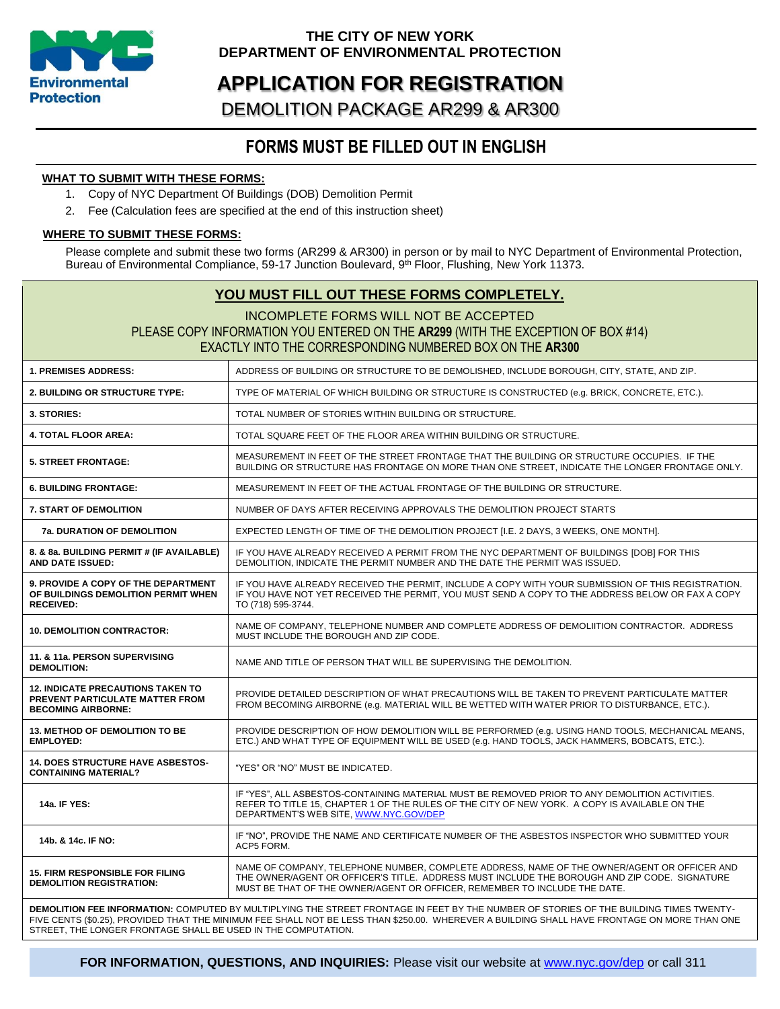

## **THE CITY OF NEW YORK DEPARTMENT OF ENVIRONMENTAL PROTECTION**

## **APPLICATION FOR REGISTRATION**

DEMOLITION PACKAGE AR299 & AR300

## **FORMS MUST BE FILLED OUT IN ENGLISH**

## **WHAT TO SUBMIT WITH THESE FORMS:**

- 1. Copy of NYC Department Of Buildings (DOB) Demolition Permit
- 2. Fee (Calculation fees are specified at the end of this instruction sheet)

## **WHERE TO SUBMIT THESE FORMS:**

Please complete and submit these two forms (AR299 & AR300) in person or by mail to NYC Department of Environmental Protection, Bureau of Environmental Compliance, 59-17 Junction Boulevard, 9th Floor, Flushing, New York 11373.

## **YOU MUST FILL OUT THESE FORMS COMPLETELY.**

#### INCOMPLETE FORMS WILL NOT BE ACCEPTED

PLEASE COPY INFORMATION YOU ENTERED ON THE **AR299** (WITH THE EXCEPTION OF BOX #14) EXACTLY INTO THE CORRESPONDING NUMBERED BOX ON THE **AR300**

| <b>1. PREMISES ADDRESS:</b>                                                                                     | ADDRESS OF BUILDING OR STRUCTURE TO BE DEMOLISHED, INCLUDE BOROUGH, CITY, STATE, AND ZIP.                                                                                                                                                                                              |
|-----------------------------------------------------------------------------------------------------------------|----------------------------------------------------------------------------------------------------------------------------------------------------------------------------------------------------------------------------------------------------------------------------------------|
| <b>2. BUILDING OR STRUCTURE TYPE:</b>                                                                           | TYPE OF MATERIAL OF WHICH BUILDING OR STRUCTURE IS CONSTRUCTED (e.g. BRICK, CONCRETE, ETC.).                                                                                                                                                                                           |
| 3. STORIES:                                                                                                     | TOTAL NUMBER OF STORIES WITHIN BUILDING OR STRUCTURE.                                                                                                                                                                                                                                  |
| <b>4. TOTAL FLOOR AREA:</b>                                                                                     | TOTAL SQUARE FEET OF THE FLOOR AREA WITHIN BUILDING OR STRUCTURE.                                                                                                                                                                                                                      |
| <b>5. STREET FRONTAGE:</b>                                                                                      | MEASUREMENT IN FEET OF THE STREET FRONTAGE THAT THE BUILDING OR STRUCTURE OCCUPIES. IF THE<br>BUILDING OR STRUCTURE HAS FRONTAGE ON MORE THAN ONE STREET. INDICATE THE LONGER FRONTAGE ONLY.                                                                                           |
| <b>6. BUILDING FRONTAGE:</b>                                                                                    | MEASUREMENT IN FEET OF THE ACTUAL FRONTAGE OF THE BUILDING OR STRUCTURE.                                                                                                                                                                                                               |
| 7. START OF DEMOLITION                                                                                          | NUMBER OF DAYS AFTER RECEIVING APPROVALS THE DEMOLITION PROJECT STARTS                                                                                                                                                                                                                 |
| <b>7a. DURATION OF DEMOLITION</b>                                                                               | EXPECTED LENGTH OF TIME OF THE DEMOLITION PROJECT [I.E. 2 DAYS, 3 WEEKS, ONE MONTH].                                                                                                                                                                                                   |
| 8. & 8a. BUILDING PERMIT # (IF AVAILABLE)<br>AND DATE ISSUED:                                                   | IF YOU HAVE ALREADY RECEIVED A PERMIT FROM THE NYC DEPARTMENT OF BUILDINGS [DOB] FOR THIS<br>DEMOLITION, INDICATE THE PERMIT NUMBER AND THE DATE THE PERMIT WAS ISSUED.                                                                                                                |
| <b>9. PROVIDE A COPY OF THE DEPARTMENT</b><br>OF BUILDINGS DEMOLITION PERMIT WHEN<br><b>RECEIVED:</b>           | IF YOU HAVE ALREADY RECEIVED THE PERMIT. INCLUDE A COPY WITH YOUR SUBMISSION OF THIS REGISTRATION.<br>IF YOU HAVE NOT YET RECEIVED THE PERMIT. YOU MUST SEND A COPY TO THE ADDRESS BELOW OR FAX A COPY<br>TO (718) 595-3744.                                                           |
| <b>10. DEMOLITION CONTRACTOR:</b>                                                                               | NAME OF COMPANY, TELEPHONE NUMBER AND COMPLETE ADDRESS OF DEMOLIITION CONTRACTOR. ADDRESS<br>MUST INCLUDE THE BOROUGH AND ZIP CODE.                                                                                                                                                    |
| 11. & 11a. PERSON SUPERVISING<br><b>DEMOLITION:</b>                                                             | NAME AND TITLE OF PERSON THAT WILL BE SUPERVISING THE DEMOLITION.                                                                                                                                                                                                                      |
| <b>12. INDICATE PRECAUTIONS TAKEN TO</b><br><b>PREVENT PARTICULATE MATTER FROM</b><br><b>BECOMING AIRBORNE:</b> | PROVIDE DETAILED DESCRIPTION OF WHAT PRECAUTIONS WILL BE TAKEN TO PREVENT PARTICULATE MATTER<br>FROM BECOMING AIRBORNE (e.g. MATERIAL WILL BE WETTED WITH WATER PRIOR TO DISTURBANCE, ETC.).                                                                                           |
| 13. METHOD OF DEMOLITION TO BE<br><b>EMPLOYED:</b>                                                              | PROVIDE DESCRIPTION OF HOW DEMOLITION WILL BE PERFORMED (e.g. USING HAND TOOLS, MECHANICAL MEANS,<br>ETC.) AND WHAT TYPE OF EQUIPMENT WILL BE USED (e.g. HAND TOOLS, JACK HAMMERS, BOBCATS, ETC.).                                                                                     |
| <b>14. DOES STRUCTURE HAVE ASBESTOS-</b><br><b>CONTAINING MATERIAL?</b>                                         | "YES" OR "NO" MUST BE INDICATED.                                                                                                                                                                                                                                                       |
| 14a. IF YES:                                                                                                    | IF "YES", ALL ASBESTOS-CONTAINING MATERIAL MUST BE REMOVED PRIOR TO ANY DEMOLITION ACTIVITIES.<br>REFER TO TITLE 15, CHAPTER 1 OF THE RULES OF THE CITY OF NEW YORK. A COPY IS AVAILABLE ON THE<br>DEPARTMENT'S WEB SITE, WWW.NYC.GOV/DEP                                              |
| 14b. & 14c. IF NO:                                                                                              | IF "NO", PROVIDE THE NAME AND CERTIFICATE NUMBER OF THE ASBESTOS INSPECTOR WHO SUBMITTED YOUR<br>ACP5 FORM.                                                                                                                                                                            |
| <b>15. FIRM RESPONSIBLE FOR FILING</b><br><b>DEMOLITION REGISTRATION:</b>                                       | NAME OF COMPANY, TELEPHONE NUMBER, COMPLETE ADDRESS, NAME OF THE OWNER/AGENT OR OFFICER AND<br>THE OWNER/AGENT OR OFFICER'S TITLE. ADDRESS MUST INCLUDE THE BOROUGH AND ZIP CODE. SIGNATURE<br>MUST BE THAT OF THE OWNER/AGENT OR OFFICER, REMEMBER TO INCLUDE THE DATE.               |
|                                                                                                                 | DEMOLITION FEE INFORMATION: COMPUTED BY MULTIPLYING THE STREET FRONTAGE IN FEET BY THE NUMBER OF STORIES OF THE BUILDING TIMES TWENTY-<br>FIVE CENTS (\$0.25), PROVIDED THAT THE MINIMUM FEE SHALL NOT BE LESS THAN \$250.00. WHEREVER A BUILDING SHALL HAVE FRONTAGE ON MORE THAN ONE |

STREET, THE LONGER FRONTAGE SHALL BE USED IN THE COMPUTATION.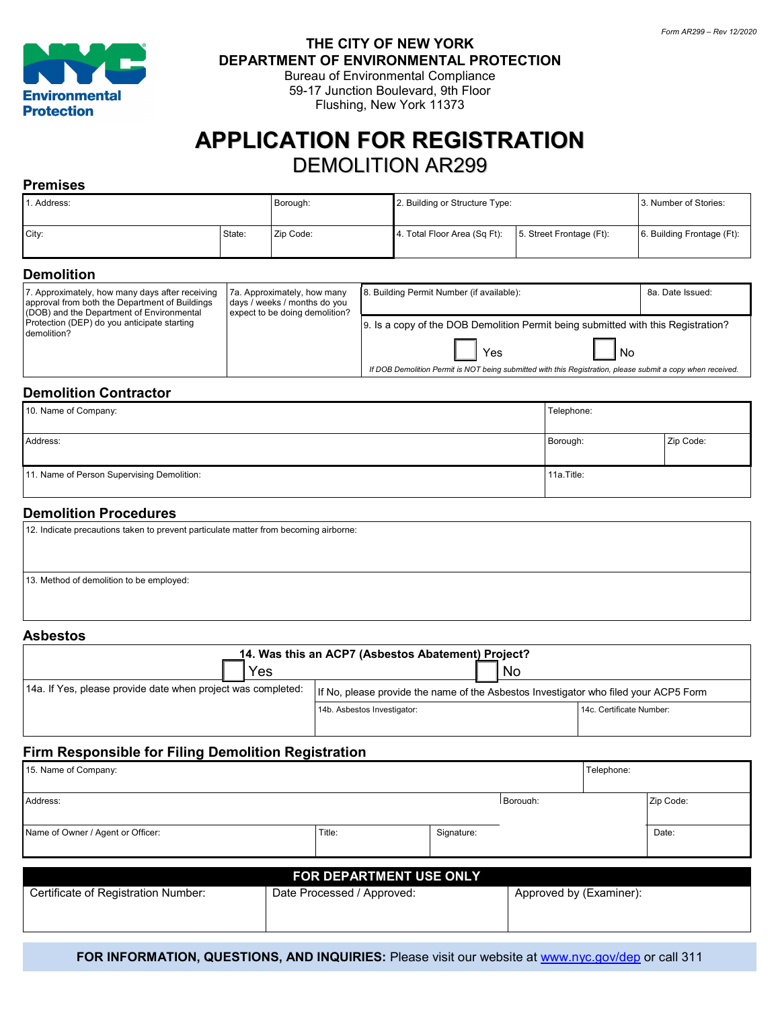

## **THE CITY OF NEW YORK DEPARTMENT OF ENVIRONMENTAL PROTECTION**

Bureau of Environmental Compliance 59-17 Junction Boulevard, 9th Floor Flushing, New York 11373

# **APPLICATION FOR REGISTRATION** DEMOLITION AR299

#### **Premises**

| Address: |        | Borough:  | 2. Building or Structure Type: |                          | 3. Number of Stories:      |
|----------|--------|-----------|--------------------------------|--------------------------|----------------------------|
| City:    | State: | Zip Code: | 4. Total Floor Area (Sq Ft):   | 5. Street Frontage (Ft): | 6. Building Frontage (Ft): |

## **Demolition**

| ------------                                                                                                                                   |                                                                                               |                                                                                                                          |                  |
|------------------------------------------------------------------------------------------------------------------------------------------------|-----------------------------------------------------------------------------------------------|--------------------------------------------------------------------------------------------------------------------------|------------------|
| 7. Approximately, how many days after receiving<br>approval from both the Department of Buildings<br>(DOB) and the Department of Environmental | 7a. Approximately, how many<br>days / weeks / months do you<br>expect to be doing demolition? | 8. Building Permit Number (if available):                                                                                | 8a. Date Issued: |
| Protection (DEP) do you anticipate starting<br>demolition?                                                                                     |                                                                                               | 9. Is a copy of the DOB Demolition Permit being submitted with this Registration?                                        |                  |
|                                                                                                                                                |                                                                                               | No<br>Yes<br>If DOB Demolition Permit is NOT being submitted with this Registration, please submit a copy when received. |                  |

## **Demolition Contractor**

| 10. Name of Company:                       | Telephone: |           |
|--------------------------------------------|------------|-----------|
| Address:                                   | Borough:   | Zip Code: |
| 11. Name of Person Supervising Demolition: | 11a.Title: |           |

## **Demolition Procedures**

| 12. Indicate precautions taken to prevent particulate matter from becoming airborne: |  |  |  |  |
|--------------------------------------------------------------------------------------|--|--|--|--|
|                                                                                      |  |  |  |  |
|                                                                                      |  |  |  |  |
| 13. Method of demolition to be employed:                                             |  |  |  |  |
|                                                                                      |  |  |  |  |
|                                                                                      |  |  |  |  |

#### **Asbestos**

| 14. Was this an ACP7 (Asbestos Abatement) Project?           |                                                                                      |  |    |                          |
|--------------------------------------------------------------|--------------------------------------------------------------------------------------|--|----|--------------------------|
| Yes                                                          |                                                                                      |  | No |                          |
| 14a. If Yes, please provide date when project was completed: | If No, please provide the name of the Asbestos Investigator who filed your ACP5 Form |  |    |                          |
|                                                              | 14b. Asbestos Investigator:                                                          |  |    | 14c. Certificate Number: |
|                                                              |                                                                                      |  |    |                          |

## **Firm Responsible for Filing Demolition Registration**

| 15. Name of Company:                                      |  |                            |                         |                         | Telephone: |           |
|-----------------------------------------------------------|--|----------------------------|-------------------------|-------------------------|------------|-----------|
| Address:                                                  |  |                            |                         | Borough:                |            | Zip Code: |
| Name of Owner / Agent or Officer:<br>Title:<br>Signature: |  |                            |                         |                         | Date:      |           |
|                                                           |  |                            | FOR DEPARTMENT USE ONLY |                         |            |           |
| Certificate of Registration Number:                       |  | Date Processed / Approved: |                         | Approved by (Examiner): |            |           |

FOR INFORMATION, QUESTIONS, AND INQUIRIES: Please visit our website at [www.nyc.gov/dep](http://www.nyc.gov/dep) or call 311